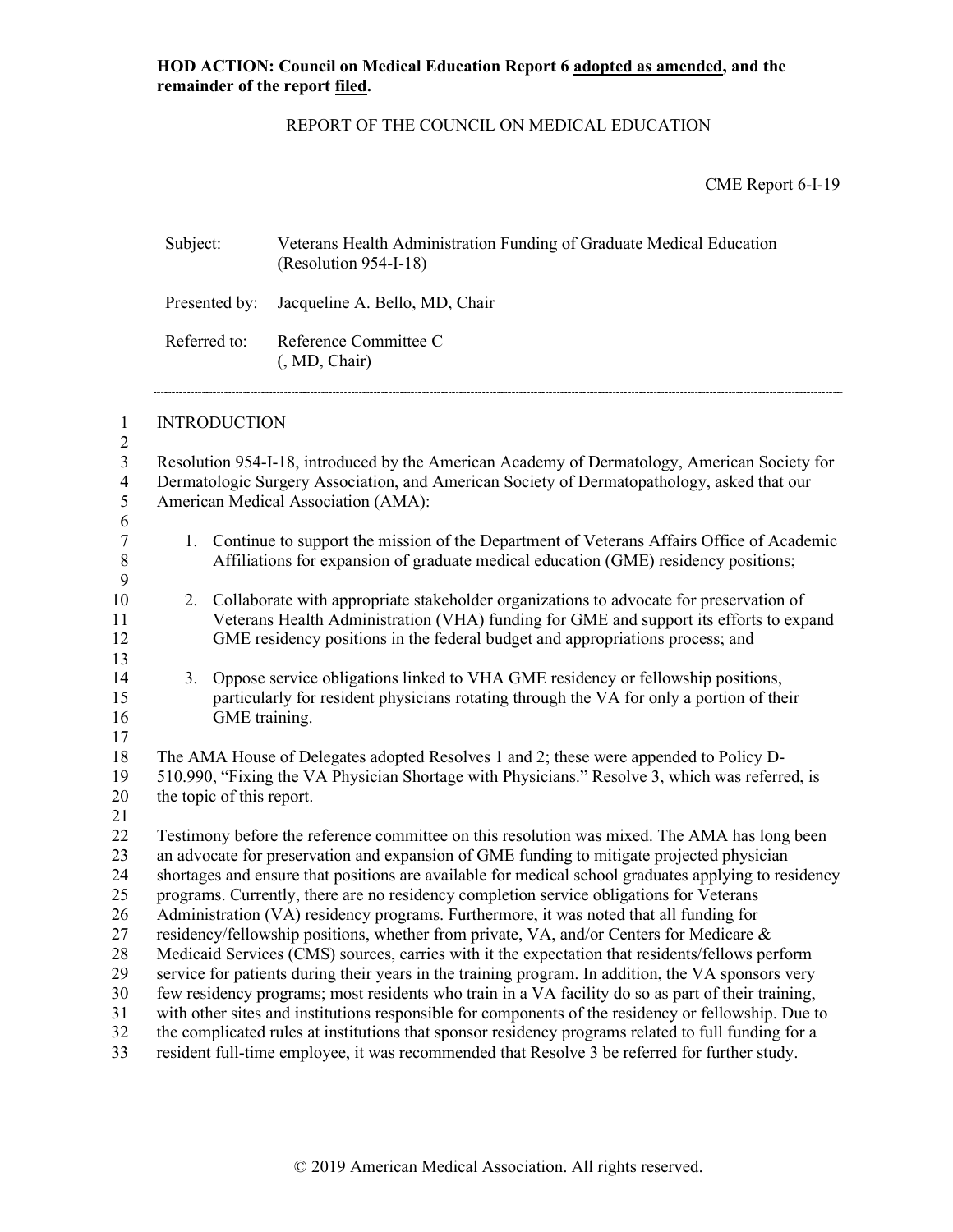Subject: Veterans Health Administration Funding of Graduate Medical Education

## REPORT OF THE COUNCIL ON MEDICAL EDUCATION

CME Report 6-I-19

|                                                              |                                                                                                                                                                                                                                                                                                                                                                                                                        |               | (Resolution 954-I-18)                                                                                                                                                                                                                                                |  |  |
|--------------------------------------------------------------|------------------------------------------------------------------------------------------------------------------------------------------------------------------------------------------------------------------------------------------------------------------------------------------------------------------------------------------------------------------------------------------------------------------------|---------------|----------------------------------------------------------------------------------------------------------------------------------------------------------------------------------------------------------------------------------------------------------------------|--|--|
|                                                              | Presented by:                                                                                                                                                                                                                                                                                                                                                                                                          |               | Jacqueline A. Bello, MD, Chair                                                                                                                                                                                                                                       |  |  |
|                                                              | Referred to:                                                                                                                                                                                                                                                                                                                                                                                                           |               | Reference Committee C<br>(, MD, Chair)                                                                                                                                                                                                                               |  |  |
| $\mathbf{1}$                                                 | <b>INTRODUCTION</b>                                                                                                                                                                                                                                                                                                                                                                                                    |               |                                                                                                                                                                                                                                                                      |  |  |
| $\overline{2}$<br>$\mathfrak{Z}$<br>$\overline{4}$<br>5<br>6 |                                                                                                                                                                                                                                                                                                                                                                                                                        |               | Resolution 954-I-18, introduced by the American Academy of Dermatology, American Society for<br>Dermatologic Surgery Association, and American Society of Dermatopathology, asked that our<br>American Medical Association (AMA):                                    |  |  |
| $\boldsymbol{7}$<br>8<br>9                                   |                                                                                                                                                                                                                                                                                                                                                                                                                        |               | 1. Continue to support the mission of the Department of Veterans Affairs Office of Academic<br>Affiliations for expansion of graduate medical education (GME) residency positions;                                                                                   |  |  |
| 10<br>11<br>12<br>13                                         |                                                                                                                                                                                                                                                                                                                                                                                                                        |               | 2. Collaborate with appropriate stakeholder organizations to advocate for preservation of<br>Veterans Health Administration (VHA) funding for GME and support its efforts to expand<br>GME residency positions in the federal budget and appropriations process; and |  |  |
| 14<br>15<br>16<br>17                                         | 3.                                                                                                                                                                                                                                                                                                                                                                                                                     | GME training. | Oppose service obligations linked to VHA GME residency or fellowship positions,<br>particularly for resident physicians rotating through the VA for only a portion of their                                                                                          |  |  |
| 18<br>19<br>20<br>21                                         | The AMA House of Delegates adopted Resolves 1 and 2; these were appended to Policy D-<br>510.990, "Fixing the VA Physician Shortage with Physicians." Resolve 3, which was referred, is<br>the topic of this report.                                                                                                                                                                                                   |               |                                                                                                                                                                                                                                                                      |  |  |
| 22<br>23<br>24<br>25                                         | Testimony before the reference committee on this resolution was mixed. The AMA has long been<br>an advocate for preservation and expansion of GME funding to mitigate projected physician<br>shortages and ensure that positions are available for medical school graduates applying to residency<br>programs. Currently, there are no residency completion service obligations for Veterans                           |               |                                                                                                                                                                                                                                                                      |  |  |
| 26<br>27<br>28                                               | Administration (VA) residency programs. Furthermore, it was noted that all funding for<br>residency/fellowship positions, whether from private, VA, and/or Centers for Medicare &<br>Medicaid Services (CMS) sources, carries with it the expectation that residents/fellows perform                                                                                                                                   |               |                                                                                                                                                                                                                                                                      |  |  |
| 29<br>30<br>31<br>32                                         | service for patients during their years in the training program. In addition, the VA sponsors very<br>few residency programs; most residents who train in a VA facility do so as part of their training,<br>with other sites and institutions responsible for components of the residency or fellowship. Due to<br>the complicated rules at institutions that sponsor residency programs related to full funding for a |               |                                                                                                                                                                                                                                                                      |  |  |
| 33                                                           | resident full-time employee, it was recommended that Resolve 3 be referred for further study.                                                                                                                                                                                                                                                                                                                          |               |                                                                                                                                                                                                                                                                      |  |  |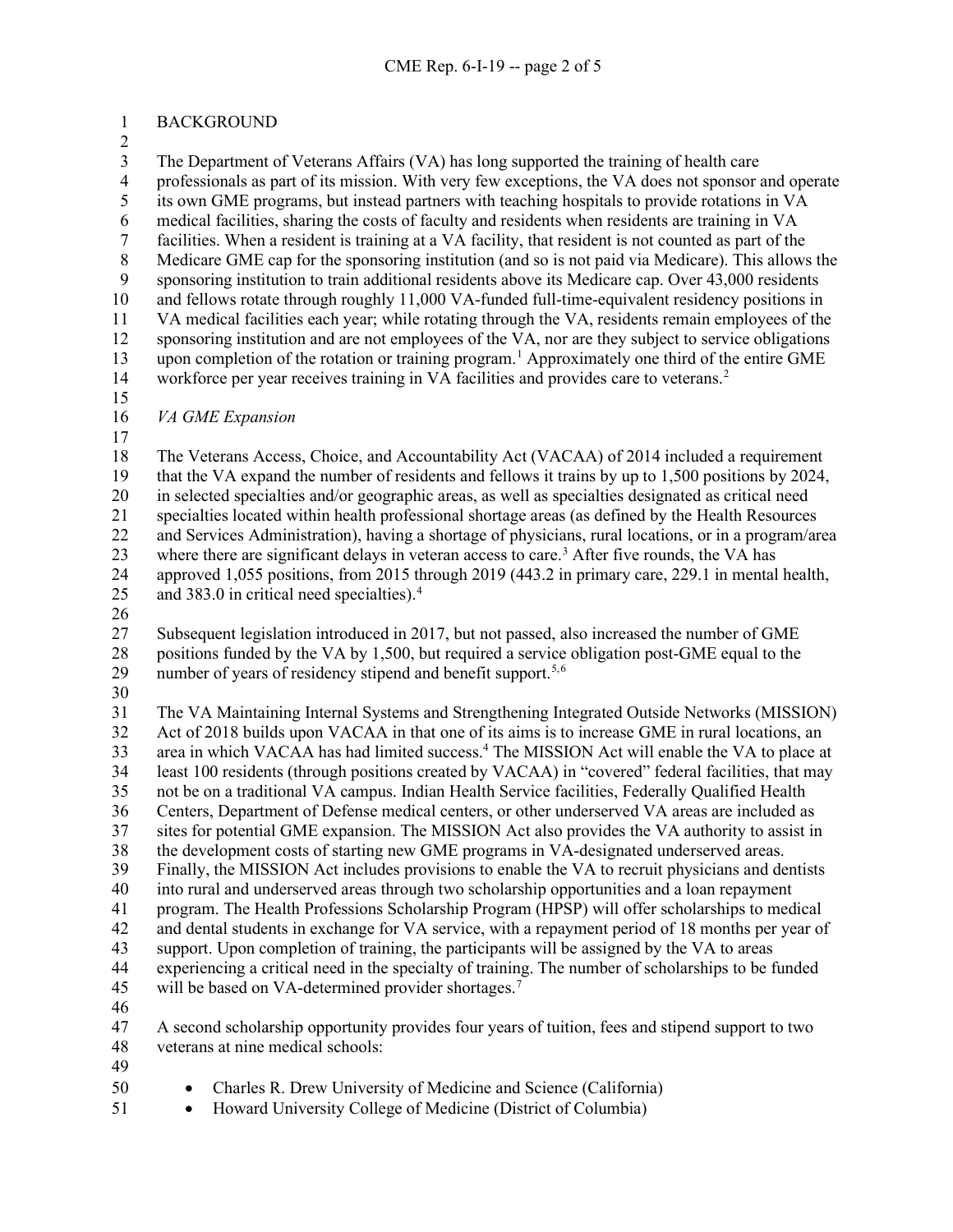BACKGROUND

 The Department of Veterans Affairs (VA) has long supported the training of health care 4 professionals as part of its mission. With very few exceptions, the VA does not sponsor and operate<br>5 its own GME programs, but instead partners with teaching hospitals to provide rotations in VA its own GME programs, but instead partners with teaching hospitals to provide rotations in VA medical facilities, sharing the costs of faculty and residents when residents are training in VA facilities. When a resident is training at a VA facility, that resident is not counted as part of the 8 Medicare GME cap for the sponsoring institution (and so is not paid via Medicare). This allows the<br>9 sponsoring institution to train additional residents above its Medicare can. Over 43,000 residents sponsoring institution to train additional residents above its Medicare cap. Over 43,000 residents 10 and fellows rotate through roughly 11,000 VA-funded full-time-equivalent residency positions in VA medical facilities each year; while rotating through the VA, residents remain employees of the sponsoring institution and are not employees of the VA, nor are they subject to service obligations 3 upon completion of the rotation or training program.<sup>1</sup> Approximately one third of the entire GME 14 workforce per year receives training in VA facilities and provides care to veterans.<sup>[2](#page-4-1)</sup> *VA GME Expansion*

 The Veterans Access, Choice, and Accountability Act (VACAA) of 2014 included a requirement that the VA expand the number of residents and fellows it trains by up to 1,500 positions by 2024, in selected specialties and/or geographic areas, as well as specialties designated as critical need specialties located within health professional shortage areas (as defined by the Health Resources and Services Administration), having a shortage of physicians, rural locations, or in a program/area [3](#page-4-2) where there are significant delays in veteran access to care.<sup>3</sup> After five rounds, the VA has approved 1,055 positions, from 2015 through 2019 (443.2 in primary care, 229.1 in mental health, 25 and 383.0 in critical need specialties). $4 \times 25$ 

 Subsequent legislation introduced in 2017, but not passed, also increased the number of GME positions funded by the VA by 1,500, but required a service obligation post-GME equal to the 29 number of years of residency stipend and benefit support.<sup>5,[6](#page-4-5)</sup>

 The VA Maintaining Internal Systems and Strengthening Integrated Outside Networks (MISSION) Act of 2018 builds upon VACAA in that one of its aims is to increase GME in rural locations, an 33 area in which VACAA has had limited success.<sup>4</sup> The MISSION Act will enable the VA to place at least 100 residents (through positions created by VACAA) in "covered" federal facilities, that may not be on a traditional VA campus. Indian Health Service facilities, Federally Qualified Health Centers, Department of Defense medical centers, or other underserved VA areas are included as sites for potential GME expansion. The MISSION Act also provides the VA authority to assist in the development costs of starting new GME programs in VA-designated underserved areas. Finally, the MISSION Act includes provisions to enable the VA to recruit physicians and dentists into rural and underserved areas through two scholarship opportunities and a loan repayment program. The Health Professions Scholarship Program (HPSP) will offer scholarships to medical and dental students in exchange for VA service, with a repayment period of 18 months per year of support. Upon completion of training, the participants will be assigned by the VA to areas experiencing a critical need in the specialty of training. The number of scholarships to be funded 45 will be based on VA-determined provider shortages.<sup>[7](#page-4-6)</sup>

 A second scholarship opportunity provides four years of tuition, fees and stipend support to two veterans at nine medical schools:

- 
- Charles R. Drew University of Medicine and Science (California)
- Howard University College of Medicine (District of Columbia)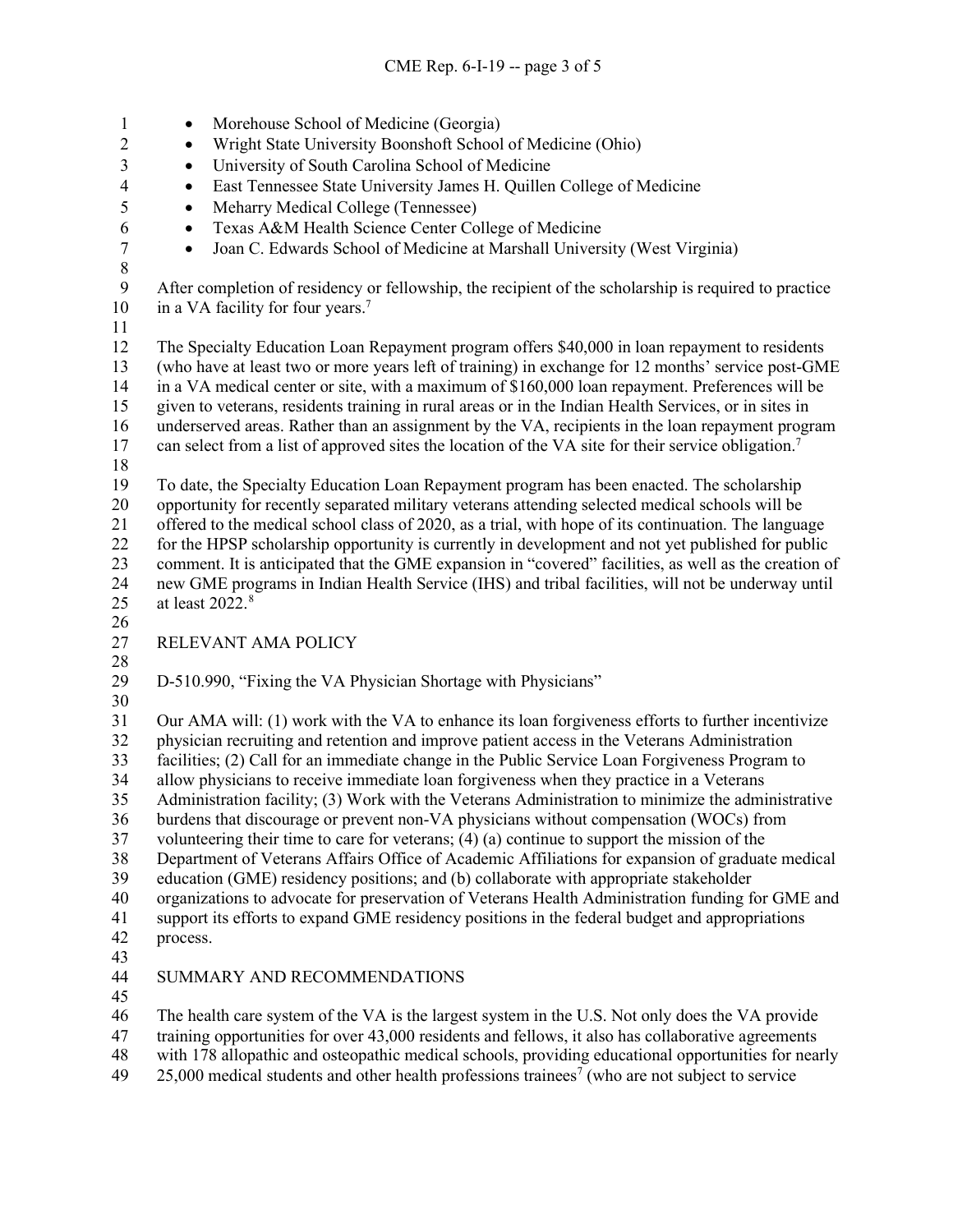1 • Morehouse School of Medicine (Georgia) • Wright State University Boonshoft School of Medicine (Ohio) • University of South Carolina School of Medicine • East Tennessee State University James H. Quillen College of Medicine • Meharry Medical College (Tennessee) • Texas A&M Health Science Center College of Medicine • Joan C. Edwards School of Medicine at Marshall University (West Virginia) After completion of residency or fellowship, the recipient of the scholarship is required to practice 10 in a VA facility for four years.<sup>7</sup> The Specialty Education Loan Repayment program offers \$40,000 in loan repayment to residents (who have at least two or more years left of training) in exchange for 12 months' service post-GME in a VA medical center or site, with a maximum of \$160,000 loan repayment. Preferences will be given to veterans, residents training in rural areas or in the Indian Health Services, or in sites in underserved areas. Rather than an assignment by the VA, recipients in the loan repayment program 17 can select from a list of approved sites the location of the VA site for their service obligation.<sup>7</sup>  $\frac{18}{19}$  To date, the Specialty Education Loan Repayment program has been enacted. The scholarship opportunity for recently separated military veterans attending selected medical schools will be offered to the medical school class of 2020, as a trial, with hope of its continuation. The language for the HPSP scholarship opportunity is currently in development and not yet published for public comment. It is anticipated that the GME expansion in "covered" facilities, as well as the creation of new GME programs in Indian Health Service (IHS) and tribal facilities, will not be underway until 25 at least 2022.<sup>[8](#page-4-7)</sup> RELEVANT AMA POLICY D-510.990, "Fixing the VA Physician Shortage with Physicians" Our AMA will: (1) work with the VA to enhance its loan forgiveness efforts to further incentivize physician recruiting and retention and improve patient access in the Veterans Administration facilities; (2) Call for an immediate change in the Public Service Loan Forgiveness Program to allow physicians to receive immediate loan forgiveness when they practice in a Veterans Administration facility; (3) Work with the Veterans Administration to minimize the administrative burdens that discourage or prevent non-VA physicians without compensation (WOCs) from volunteering their time to care for veterans; (4) (a) continue to support the mission of the Department of Veterans Affairs Office of Academic Affiliations for expansion of graduate medical education (GME) residency positions; and (b) collaborate with appropriate stakeholder organizations to advocate for preservation of Veterans Health Administration funding for GME and support its efforts to expand GME residency positions in the federal budget and appropriations process. SUMMARY AND RECOMMENDATIONS The health care system of the VA is the largest system in the U.S. Not only does the VA provide training opportunities for over 43,000 residents and fellows, it also has collaborative agreements with 178 allopathic and osteopathic medical schools, providing educational opportunities for nearly

 $25,000$  medical students and other health professions trainees<sup>7</sup> (who are not subject to service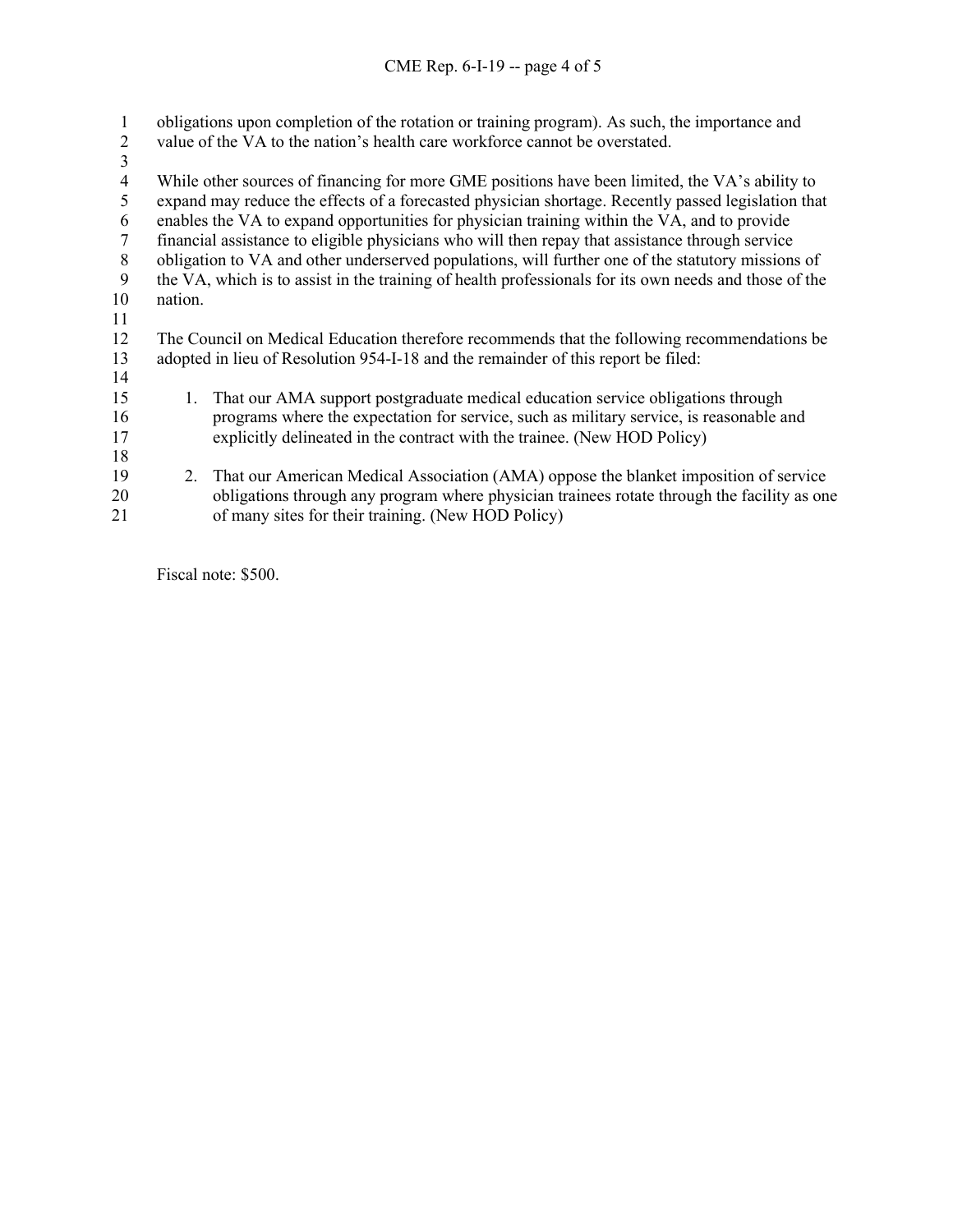| 1  | obligations upon completion of the rotation or training program). As such, the importance and         |                                                                                             |  |  |  |
|----|-------------------------------------------------------------------------------------------------------|---------------------------------------------------------------------------------------------|--|--|--|
| 2  | value of the VA to the nation's health care workforce cannot be overstated.                           |                                                                                             |  |  |  |
| 3  |                                                                                                       |                                                                                             |  |  |  |
| 4  | While other sources of financing for more GME positions have been limited, the VA's ability to        |                                                                                             |  |  |  |
| 5  | expand may reduce the effects of a forecasted physician shortage. Recently passed legislation that    |                                                                                             |  |  |  |
| 6  | enables the VA to expand opportunities for physician training within the VA, and to provide           |                                                                                             |  |  |  |
| 7  | financial assistance to eligible physicians who will then repay that assistance through service       |                                                                                             |  |  |  |
| 8  | obligation to VA and other underserved populations, will further one of the statutory missions of     |                                                                                             |  |  |  |
| 9  | the VA, which is to assist in the training of health professionals for its own needs and those of the |                                                                                             |  |  |  |
| 10 | nation.                                                                                               |                                                                                             |  |  |  |
| 11 |                                                                                                       |                                                                                             |  |  |  |
| 12 | The Council on Medical Education therefore recommends that the following recommendations be           |                                                                                             |  |  |  |
| 13 | adopted in lieu of Resolution 954-I-18 and the remainder of this report be filed:                     |                                                                                             |  |  |  |
| 14 |                                                                                                       |                                                                                             |  |  |  |
| 15 | 1.                                                                                                    | That our AMA support postgraduate medical education service obligations through             |  |  |  |
| 16 |                                                                                                       | programs where the expectation for service, such as military service, is reasonable and     |  |  |  |
| 17 |                                                                                                       | explicitly delineated in the contract with the trainee. (New HOD Policy)                    |  |  |  |
| 18 |                                                                                                       |                                                                                             |  |  |  |
| 19 |                                                                                                       | 2. That our American Medical Association (AMA) oppose the blanket imposition of service     |  |  |  |
| 20 |                                                                                                       | obligations through any program where physician trainees rotate through the facility as one |  |  |  |
| 21 |                                                                                                       | of many sites for their training. (New HOD Policy)                                          |  |  |  |

Fiscal note: \$500.